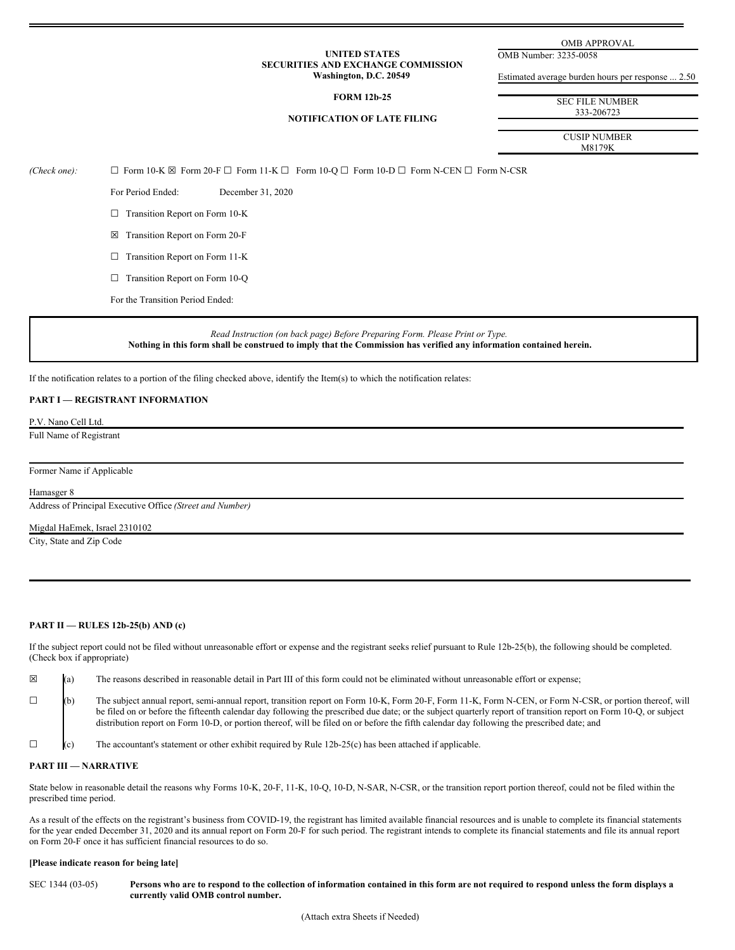#### **UNITED STATES SECURITIES AND EXCHANGE COMMISSION Washington, D.C. 20549**

# **FORM 12b-25**

# **NOTIFICATION OF LATE FILING**

SEC FILE NUMBER 333-206723

OMB APPROVAL

Estimated average burden hours per response ... 2.50

OMB Number: 3235-0058

CUSIP NUMBER M8179K

*(Check one):* ☐ Form 10-K ☒ Form 20-F ☐ Form 11-K ☐ Form 10-Q ☐ Form 10-D ☐ Form N-CEN ☐ Form N-CSR

For Period Ended: December 31, 2020

□ Transition Report on Form 10-K

☒ Transition Report on Form 20-F

 $\Box$  Transition Report on Form 11-K

□ Transition Report on Form 10-Q

For the Transition Period Ended:

*Read Instruction (on back page) Before Preparing Form. Please Print or Type.* Nothing in this form shall be construed to imply that the Commission has verified any information contained herein.

If the notification relates to a portion of the filing checked above, identify the Item(s) to which the notification relates:

# **PART I — REGISTRANT INFORMATION**

P.V. Nano Cell Ltd.

Full Name of Registrant

Former Name if Applicable

#### Hamasger 8

Address of Principal Executive Office *(Street and Number)*

#### Migdal HaEmek, Israel 2310102

City, State and Zip Code

### **PART II — RULES 12b-25(b) AND (c)**

If the subject report could not be filed without unreasonable effort or expense and the registrant seeks relief pursuant to Rule 12b-25(b), the following should be completed. (Check box if appropriate)

 $\boxtimes$  (a) The reasons described in reasonable detail in Part III of this form could not be eliminated without unreasonable effort or expense;

☐ (b) The subject annual report, semi-annual report, transition report on Form 10-K, Form 20-F, Form 11-K, Form N-CEN, or Form N-CSR, or portion thereof, will be filed on or before the fifteenth calendar day following the prescribed due date; or the subject quarterly report of transition report on Form 10-Q, or subject distribution report on Form 10-D, or portion thereof, will be filed on or before the fifth calendar day following the prescribed date; and

 $\Box$  (c) The accountant's statement or other exhibit required by Rule 12b-25(c) has been attached if applicable.

### **PART III — NARRATIVE**

State below in reasonable detail the reasons why Forms 10-K, 20-F, 11-K, 10-Q, 10-D, N-SAR, N-CSR, or the transition report portion thereof, could not be filed within the prescribed time period.

As a result of the effects on the registrant's business from COVID-19, the registrant has limited available financial resources and is unable to complete its financial statements for the year ended December 31, 2020 and its annual report on Form 20-F for such period. The registrant intends to complete its financial statements and file its annual report on Form 20-F once it has sufficient financial resources to do so.

#### **[Please indicate reason for being late]**

SEC 1344 (03-05) Persons who are to respond to the collection of information contained in this form are not required to respond unless the form displays a **currently valid OMB control number.**